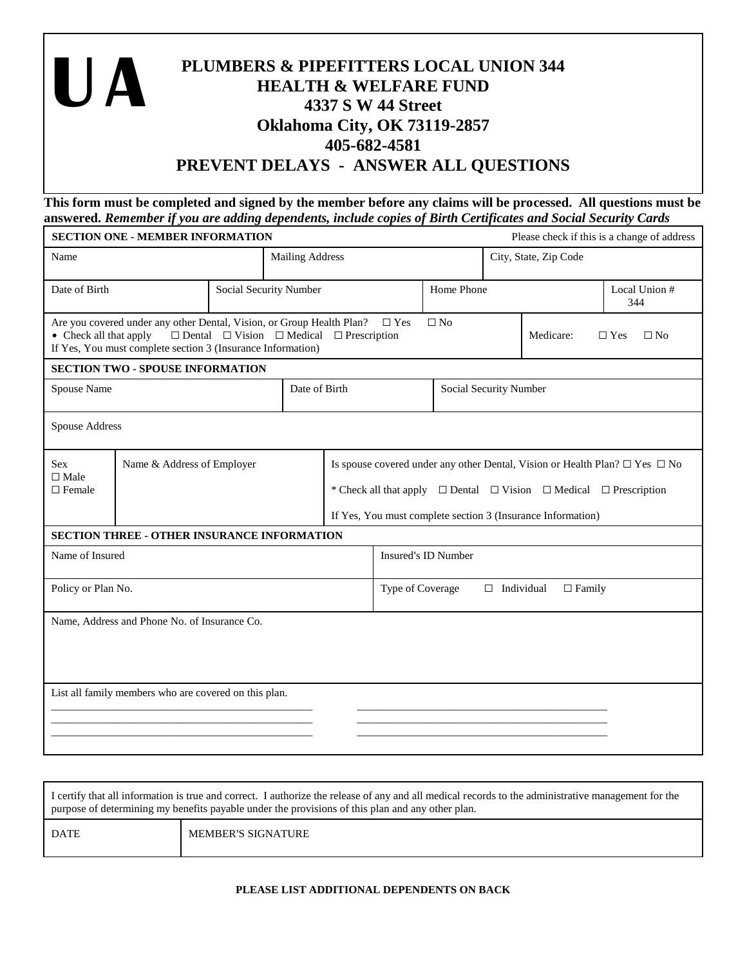| PLUMBERS & PIPEFITTERS LOCAL UNION 344<br><b>HEALTH &amp; WELFARE FUND</b><br>4337 S W 44 Street |  |  |  |
|--------------------------------------------------------------------------------------------------|--|--|--|
| <b>Oklahoma City, OK 73119-2857</b>                                                              |  |  |  |
| 405-682-4581                                                                                     |  |  |  |
| PREVENT DELAYS - ANSWER ALL QUESTIONS                                                            |  |  |  |

**This form must be completed and signed by the member before any claims will be processed. All questions must be answered.** *Remember if you are adding dependents, include copies of Birth Certificates and Social Security Cards*

| <b>SECTION ONE - MEMBER INFORMATION</b>    |                                                                                                                                      |                                                                |                        |                                                        |                                                                                                                                                                                                                                               |                        |  |                       | Please check if this is a change of address |
|--------------------------------------------|--------------------------------------------------------------------------------------------------------------------------------------|----------------------------------------------------------------|------------------------|--------------------------------------------------------|-----------------------------------------------------------------------------------------------------------------------------------------------------------------------------------------------------------------------------------------------|------------------------|--|-----------------------|---------------------------------------------|
| Name                                       |                                                                                                                                      |                                                                | <b>Mailing Address</b> |                                                        |                                                                                                                                                                                                                                               |                        |  | City, State, Zip Code |                                             |
| Date of Birth<br>Social Security Number    |                                                                                                                                      |                                                                |                        |                                                        |                                                                                                                                                                                                                                               | Home Phone             |  |                       | Local Union #<br>344                        |
| • Check all that apply                     | Are you covered under any other Dental, Vision, or Group Health Plan?<br>If Yes, You must complete section 3 (Insurance Information) | $\Box$ Dental $\Box$ Vision $\Box$ Medical $\Box$ Prescription |                        |                                                        | $\Box$ Yes                                                                                                                                                                                                                                    | $\Box$ No              |  | Medicare:             | $\Box$ No<br>$\Box$ Yes                     |
|                                            | <b>SECTION TWO - SPOUSE INFORMATION</b>                                                                                              |                                                                |                        |                                                        |                                                                                                                                                                                                                                               |                        |  |                       |                                             |
| Spouse Name                                |                                                                                                                                      |                                                                | Date of Birth          |                                                        |                                                                                                                                                                                                                                               | Social Security Number |  |                       |                                             |
| Spouse Address                             |                                                                                                                                      |                                                                |                        |                                                        |                                                                                                                                                                                                                                               |                        |  |                       |                                             |
| <b>Sex</b><br>$\Box$ Male<br>$\Box$ Female | Name & Address of Employer                                                                                                           |                                                                |                        |                                                        | Is spouse covered under any other Dental, Vision or Health Plan? $\Box$ Yes $\Box$ No<br>* Check all that apply $\Box$ Dental $\Box$ Vision $\Box$ Medical $\Box$ Prescription<br>If Yes, You must complete section 3 (Insurance Information) |                        |  |                       |                                             |
|                                            | <b>SECTION THREE - OTHER INSURANCE INFORMATION</b>                                                                                   |                                                                |                        |                                                        |                                                                                                                                                                                                                                               |                        |  |                       |                                             |
| Name of Insured                            |                                                                                                                                      |                                                                |                        | Insured's ID Number                                    |                                                                                                                                                                                                                                               |                        |  |                       |                                             |
| Policy or Plan No.                         |                                                                                                                                      |                                                                |                        | Type of Coverage<br>$\Box$ Individual<br>$\Box$ Family |                                                                                                                                                                                                                                               |                        |  |                       |                                             |
|                                            | Name, Address and Phone No. of Insurance Co.                                                                                         |                                                                |                        |                                                        |                                                                                                                                                                                                                                               |                        |  |                       |                                             |
|                                            | List all family members who are covered on this plan.                                                                                |                                                                |                        |                                                        |                                                                                                                                                                                                                                               |                        |  |                       |                                             |

| I certify that all information is true and correct. I authorize the release of any and all medical records to the administrative management for the<br>purpose of determining my benefits payable under the provisions of this plan and any other plan. |                           |  |  |  |
|---------------------------------------------------------------------------------------------------------------------------------------------------------------------------------------------------------------------------------------------------------|---------------------------|--|--|--|
| DATE                                                                                                                                                                                                                                                    | <b>MEMBER'S SIGNATURE</b> |  |  |  |

## **PLEASE LIST ADDITIONAL DEPENDENTS ON BACK**